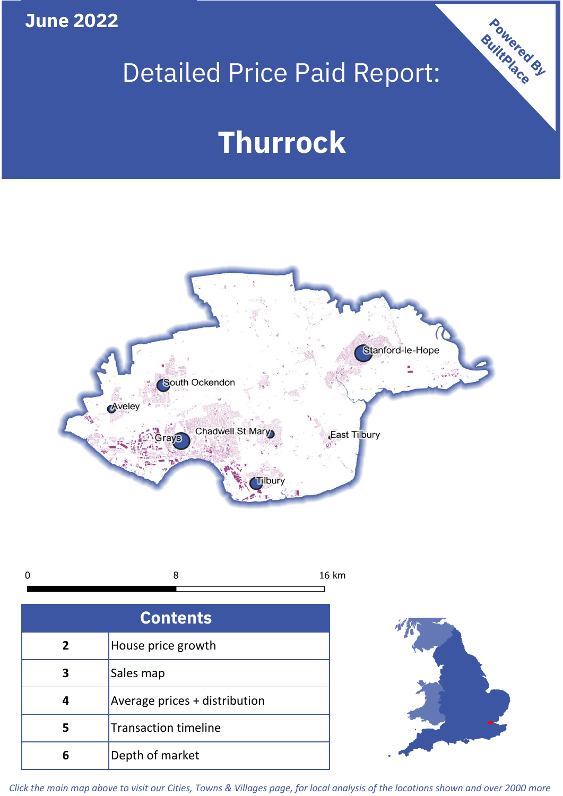**June 2022**

## Detailed Price Paid Report:

# **Thurrock**



8 16 km  $\mathbf 0$ 

| <b>Contents</b> |                               |  |  |
|-----------------|-------------------------------|--|--|
| 2               | House price growth            |  |  |
| 3               | Sales map                     |  |  |
|                 | Average prices + distribution |  |  |
| 5               | <b>Transaction timeline</b>   |  |  |
| ĥ               | Depth of market               |  |  |



Powered By

*Click the main map above to visit our Cities, Towns & Villages page, for local analysis of the locations shown and over 2000 more*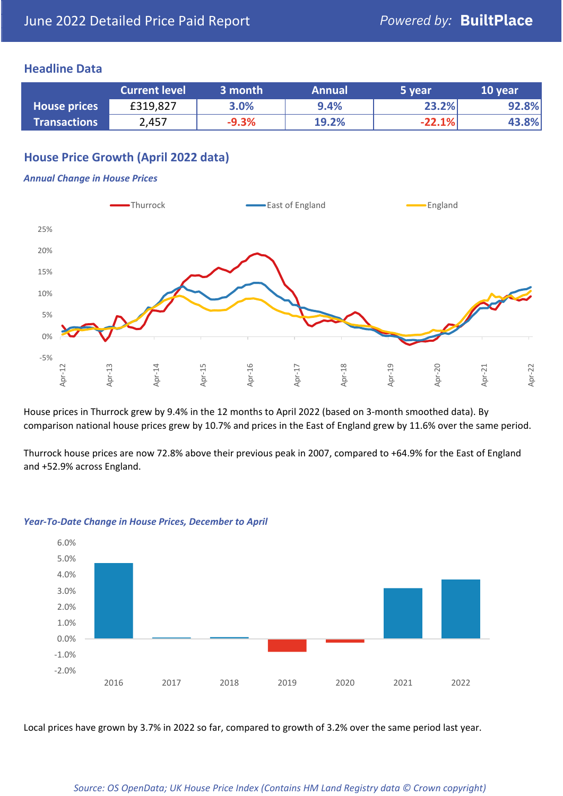## **Headline Data**

|                     | <b>Current level</b> | 3 month | <b>Annual</b> | '5 vear. | 10 year |
|---------------------|----------------------|---------|---------------|----------|---------|
| <b>House prices</b> | £319,827             | 3.0%    | 9.4%          | 23.2%    | 92.8%   |
| <b>Transactions</b> | 2,457                | $-9.3%$ | 19.2%         | $-22.1%$ | 43.8%   |

## **House Price Growth (April 2022 data)**

#### *Annual Change in House Prices*



House prices in Thurrock grew by 9.4% in the 12 months to April 2022 (based on 3-month smoothed data). By comparison national house prices grew by 10.7% and prices in the East of England grew by 11.6% over the same period.

Thurrock house prices are now 72.8% above their previous peak in 2007, compared to +64.9% for the East of England and +52.9% across England.



#### *Year-To-Date Change in House Prices, December to April*

Local prices have grown by 3.7% in 2022 so far, compared to growth of 3.2% over the same period last year.

#### *Source: OS OpenData; UK House Price Index (Contains HM Land Registry data © Crown copyright)*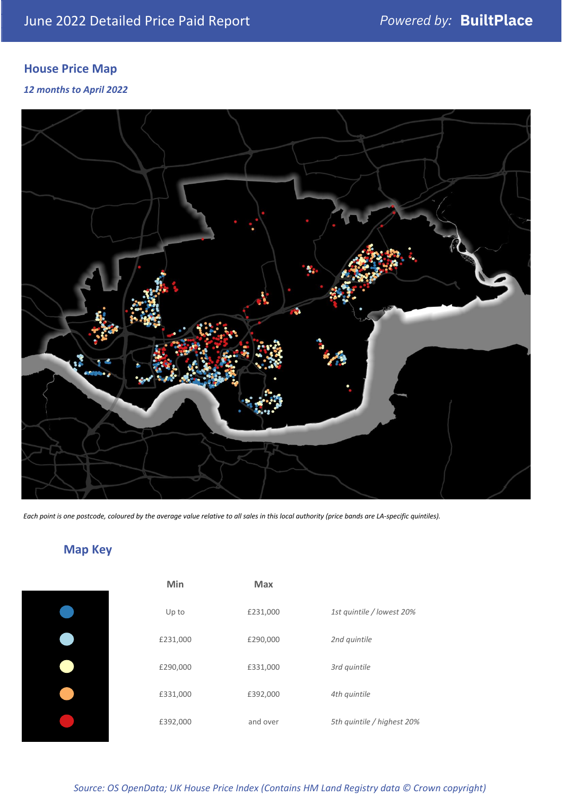## **House Price Map**

### *12 months to April 2022*



*Each point is one postcode, coloured by the average value relative to all sales in this local authority (price bands are LA-specific quintiles).*

## **Map Key**

| Min      | Max      |                            |
|----------|----------|----------------------------|
| Up to    | £231,000 | 1st quintile / lowest 20%  |
| £231,000 | £290,000 | 2nd quintile               |
| £290,000 | £331,000 | 3rd quintile               |
| £331,000 | £392,000 | 4th quintile               |
| £392,000 | and over | 5th quintile / highest 20% |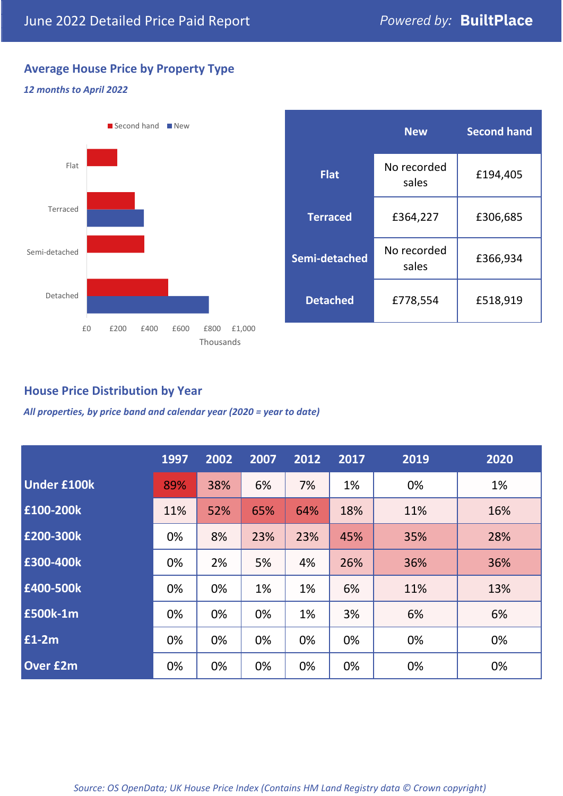## **Average House Price by Property Type**

#### *12 months to April 2022*



## **House Price Distribution by Year**

*All properties, by price band and calendar year (2020 = year to date)*

|                    | 1997 | 2002 | 2007 | 2012 | 2017 | 2019 | 2020 |
|--------------------|------|------|------|------|------|------|------|
| <b>Under £100k</b> | 89%  | 38%  | 6%   | 7%   | 1%   | 0%   | 1%   |
| £100-200k          | 11%  | 52%  | 65%  | 64%  | 18%  | 11%  | 16%  |
| E200-300k          | 0%   | 8%   | 23%  | 23%  | 45%  | 35%  | 28%  |
| £300-400k          | 0%   | 2%   | 5%   | 4%   | 26%  | 36%  | 36%  |
| £400-500k          | 0%   | 0%   | 1%   | 1%   | 6%   | 11%  | 13%  |
| <b>£500k-1m</b>    | 0%   | 0%   | 0%   | 1%   | 3%   | 6%   | 6%   |
| £1-2m              | 0%   | 0%   | 0%   | 0%   | 0%   | 0%   | 0%   |
| <b>Over £2m</b>    | 0%   | 0%   | 0%   | 0%   | 0%   | 0%   | 0%   |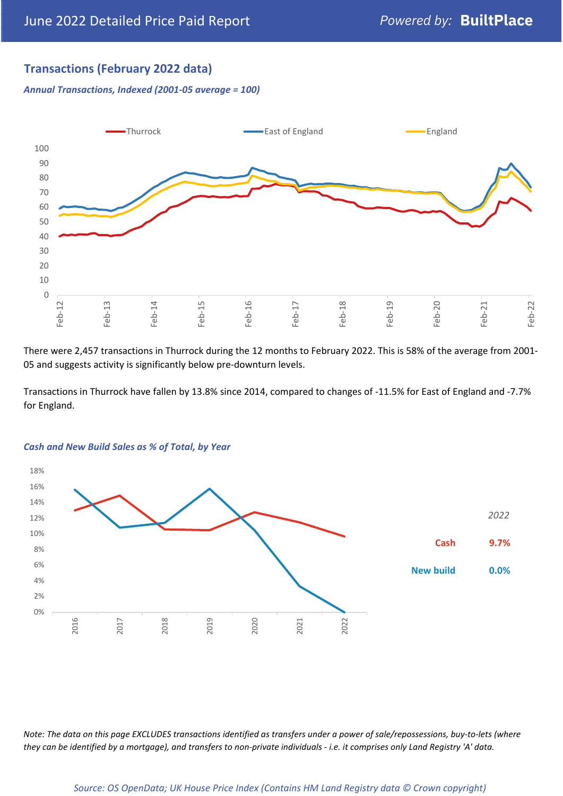## **Transactions (February 2022 data)**

*Annual Transactions, Indexed (2001-05 average = 100)*



There were 2,457 transactions in Thurrock during the 12 months to February 2022. This is 58% of the average from 2001- 05 and suggests activity is significantly below pre-downturn levels.

Transactions in Thurrock have fallen by 13.8% since 2014, compared to changes of -11.5% for East of England and -7.7% for England.



#### *Cash and New Build Sales as % of Total, by Year*

*Note: The data on this page EXCLUDES transactions identified as transfers under a power of sale/repossessions, buy-to-lets (where they can be identified by a mortgage), and transfers to non-private individuals - i.e. it comprises only Land Registry 'A' data.*